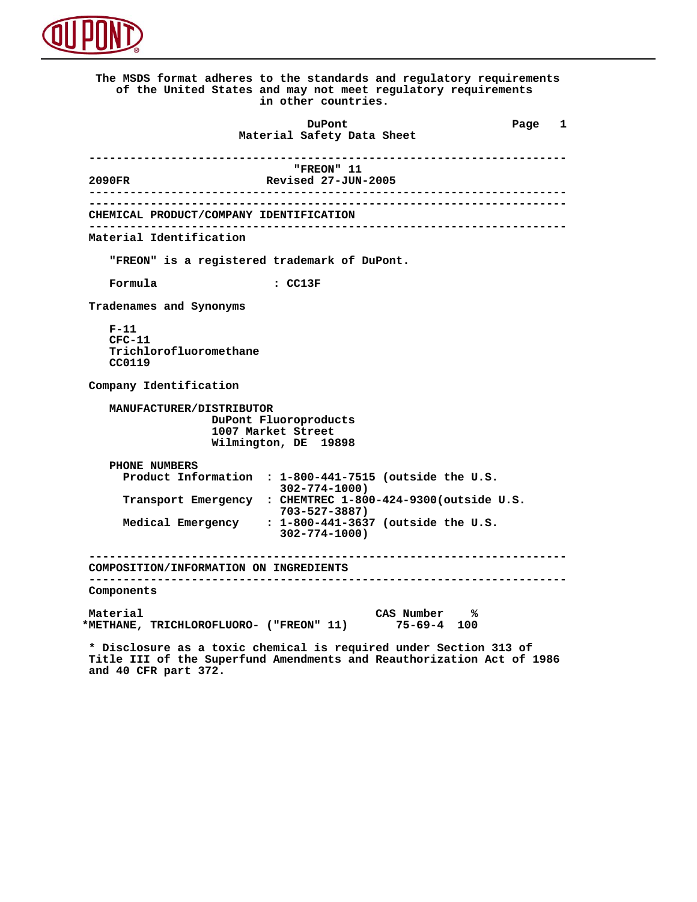

 **The MSDS format adheres to the standards and regulatory requirements of the United States and may not meet regulatory requirements in other countries. DuPont Different Page 1 Material Safety Data Sheet ---------------------------------------------------------------------- FREON" 11**<br>Revised 27-JUN: Revised 27-JUN  **2090FR Revised 27-JUN-2005 ---------------------------------------------------------------------- ---------------------------------------------------------------------- CHEMICAL PRODUCT/COMPANY IDENTIFICATION ---------------------------------------------------------------------- Material Identification "FREON" is a registered trademark of DuPont. Formula : CC13F Tradenames and Synonyms F-11 CFC-11 Trichlorofluoromethane CC0119 Company Identification MANUFACTURER/DISTRIBUTOR DuPont Fluoroproducts 1007 Market Street Wilmington, DE 19898 PHONE NUMBERS Product Information : 1-800-441-7515 (outside the U.S. 302-774-1000) Transport Emergency : CHEMTREC 1-800-424-9300(outside U.S. 703-527-3887) Medical Emergency : 1-800-441-3637 (outside the U.S. 302-774-1000) ---------------------------------------------------------------------- COMPOSITION/INFORMATION ON INGREDIENTS ---------------------------------------------------------------------- Components** Material CAS Number  $*$ <br>METHANE, TRICHLOROFLUORO- ("FREON" 11) 75-69-4 100\*  **\*METHANE, TRICHLOROFLUORO- ("FREON" 11) 75-69-4 100**

 **\* Disclosure as a toxic chemical is required under Section 313 of Title III of the Superfund Amendments and Reauthorization Act of 1986 and 40 CFR part 372.**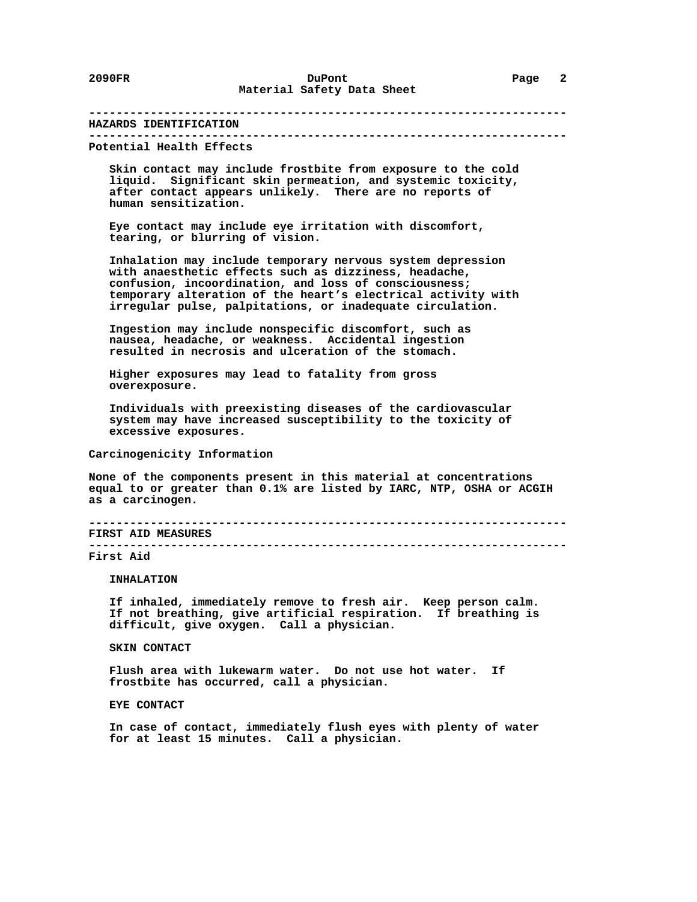### **---------------------------------------------------------------------- HAZARDS IDENTIFICATION ----------------------------------------------------------------------**

 **Potential Health Effects**

 **Skin contact may include frostbite from exposure to the cold liquid. Significant skin permeation, and systemic toxicity, after contact appears unlikely. There are no reports of human sensitization.**

 **Eye contact may include eye irritation with discomfort, tearing, or blurring of vision.**

 **Inhalation may include temporary nervous system depression with anaesthetic effects such as dizziness, headache, confusion, incoordination, and loss of consciousness; temporary alteration of the heart's electrical activity with irregular pulse, palpitations, or inadequate circulation.**

 **Ingestion may include nonspecific discomfort, such as nausea, headache, or weakness. Accidental ingestion resulted in necrosis and ulceration of the stomach.**

 **Higher exposures may lead to fatality from gross overexposure.**

 **Individuals with preexisting diseases of the cardiovascular system may have increased susceptibility to the toxicity of excessive exposures.**

 **Carcinogenicity Information**

 **None of the components present in this material at concentrations equal to or greater than 0.1% are listed by IARC, NTP, OSHA or ACGIH as a carcinogen.**

 **----------------------------------------------------------------------**

 **FIRST AID MEASURES**

 **----------------------------------------------------------------------**

## **First Aid**

 **INHALATION**

 **If inhaled, immediately remove to fresh air. Keep person calm. If not breathing, give artificial respiration. If breathing is difficult, give oxygen. Call a physician.**

 **SKIN CONTACT**

 **Flush area with lukewarm water. Do not use hot water. If frostbite has occurred, call a physician.**

 **EYE CONTACT**

 **In case of contact, immediately flush eyes with plenty of water for at least 15 minutes. Call a physician.**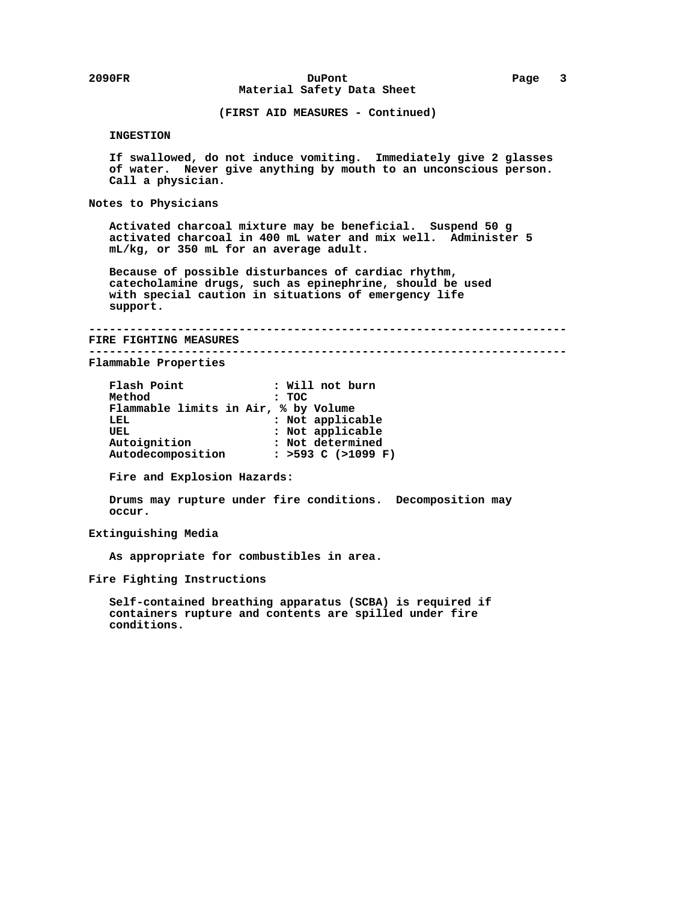**(FIRST AID MEASURES - Continued)**

## **INGESTION**

 **If swallowed, do not induce vomiting. Immediately give 2 glasses of water. Never give anything by mouth to an unconscious person. Call a physician.**

```
 Notes to Physicians
```
 **Activated charcoal mixture may be beneficial. Suspend 50 g activated charcoal in 400 mL water and mix well. Administer 5 mL/kg, or 350 mL for an average adult.**

 **Because of possible disturbances of cardiac rhythm, catecholamine drugs, such as epinephrine, should be used with special caution in situations of emergency life support.**

```
 ----------------------------------------------------------------------
```
 **FIRE FIGHTING MEASURES**

 **----------------------------------------------------------------------**

 **Flammable Properties**

| Method<br>: TOC<br>Flammable limits in Air, % by Volume<br>: Not applicable<br>LEL<br>: Not applicable<br>UEL<br>: Not determined<br>Autoignition<br>Autodecomposition<br>: >593 C (>1099 F) | Flash Point |  | : Will not burn |
|----------------------------------------------------------------------------------------------------------------------------------------------------------------------------------------------|-------------|--|-----------------|
|                                                                                                                                                                                              |             |  |                 |
|                                                                                                                                                                                              |             |  |                 |
|                                                                                                                                                                                              |             |  |                 |
|                                                                                                                                                                                              |             |  |                 |
|                                                                                                                                                                                              |             |  |                 |
|                                                                                                                                                                                              |             |  |                 |

 **Fire and Explosion Hazards:**

 **Drums may rupture under fire conditions. Decomposition may occur.**

 **Extinguishing Media**

 **As appropriate for combustibles in area.**

 **Fire Fighting Instructions**

 **Self-contained breathing apparatus (SCBA) is required if containers rupture and contents are spilled under fire conditions.**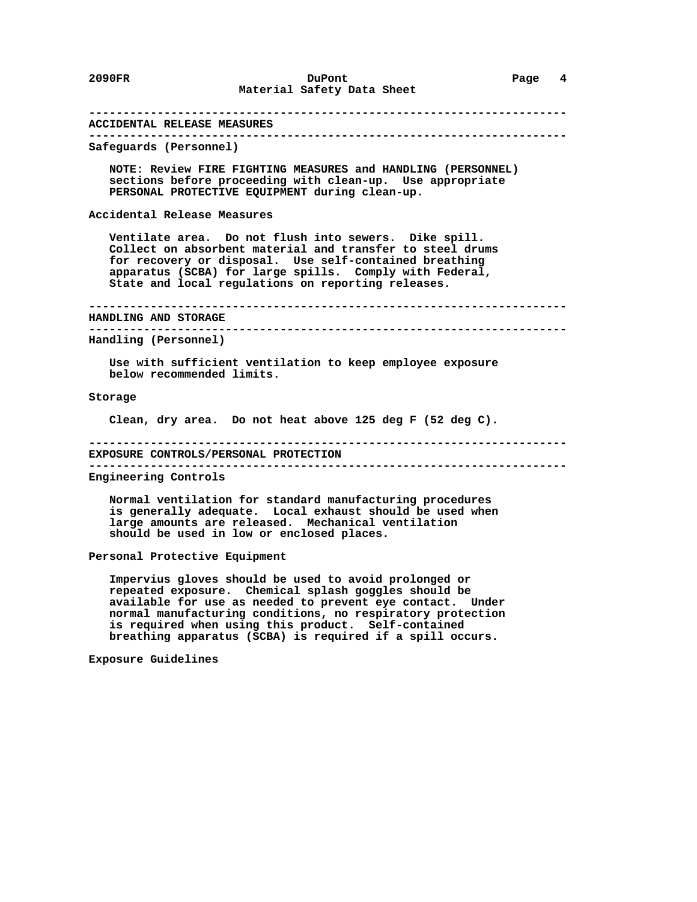# **---------------------------------------------------------------------- ACCIDENTAL RELEASE MEASURES ---------------------------------------------------------------------- Safeguards (Personnel) NOTE: Review FIRE FIGHTING MEASURES and HANDLING (PERSONNEL) sections before proceeding with clean-up. Use appropriate PERSONAL PROTECTIVE EQUIPMENT during clean-up. Accidental Release Measures Ventilate area. Do not flush into sewers. Dike spill. Collect on absorbent material and transfer to steel drums for recovery or disposal. Use self-contained breathing apparatus (SCBA) for large spills. Comply with Federal, State and local regulations on reporting releases. ---------------------------------------------------------------------- HANDLING AND STORAGE ---------------------------------------------------------------------- Handling (Personnel) Use with sufficient ventilation to keep employee exposure below recommended limits. Storage Clean, dry area. Do not heat above 125 deg F (52 deg C). ---------------------------------------------------------------------- EXPOSURE CONTROLS/PERSONAL PROTECTION ---------------------------------------------------------------------- Engineering Controls Normal ventilation for standard manufacturing procedures is generally adequate. Local exhaust should be used when large amounts are released. Mechanical ventilation should be used in low or enclosed places. Personal Protective Equipment Impervius gloves should be used to avoid prolonged or**

 **repeated exposure. Chemical splash goggles should be available for use as needed to prevent eye contact. Under normal manufacturing conditions, no respiratory protection is required when using this product. Self-contained breathing apparatus (SCBA) is required if a spill occurs.**

 **Exposure Guidelines**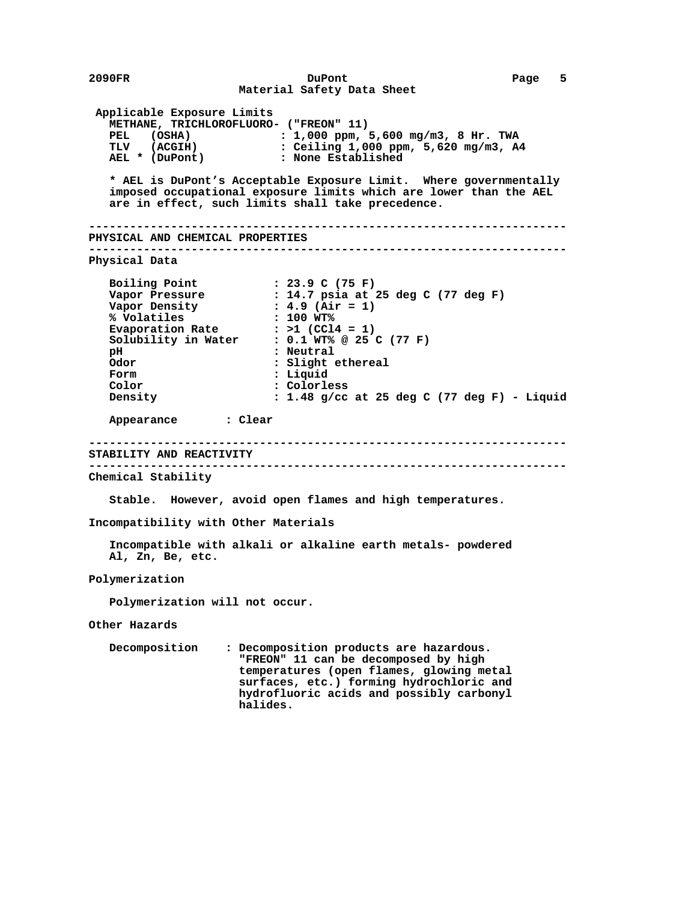**2090FR DuPont Page 5 Material Safety Data Sheet Applicable Exposure Limits METHANE, TRICHLOROFLUORO- ("FREON" 11)**<br>PEL (OSHA) : 1,000 ppm,  **PEL (OSHA) : 1,000 ppm, 5,600 mg/m3, 8 Hr. TWA TLV (ACGIH) : Ceiling 1,000 ppm, 5,620 mg/m3, A4** AEL \* (DuPont)  **\* AEL is DuPont's Acceptable Exposure Limit. Where governmentally imposed occupational exposure limits which are lower than the AEL are in effect, such limits shall take precedence. ---------------------------------------------------------------------- PHYSICAL AND CHEMICAL PROPERTIES ---------------------------------------------------------------------- Physical Data Boiling Point : 23.9 C (75 F) Vapor Pressure : 14.7 psia at 25 deg C (77 deg F) Vapor Density : 4.9 (Air = 1) % Volatiles : 100 WT%** Evaporation Rate : >1 (CCl4 = 1)  **Solubility in Water : 0.1 WT% @ 25 C (77 F) pH : Neutral Odor : Slight ethereal Form : Liquid Color : Colorless**<br> **Density** : 1.48 g/cc  **Density : 1.48 g/cc at 25 deg C (77 deg F) - Liquid Appearance : Clear ---------------------------------------------------------------------- STABILITY AND REACTIVITY ---------------------------------------------------------------------- Chemical Stability Stable. However, avoid open flames and high temperatures. Incompatibility with Other Materials Incompatible with alkali or alkaline earth metals- powdered Al, Zn, Be, etc. Polymerization Polymerization will not occur. Other Hazards Decomposition : Decomposition products are hazardous. "FREON" 11 can be decomposed by high temperatures (open flames, glowing metal surfaces, etc.) forming hydrochloric and hydrofluoric acids and possibly carbonyl halides.**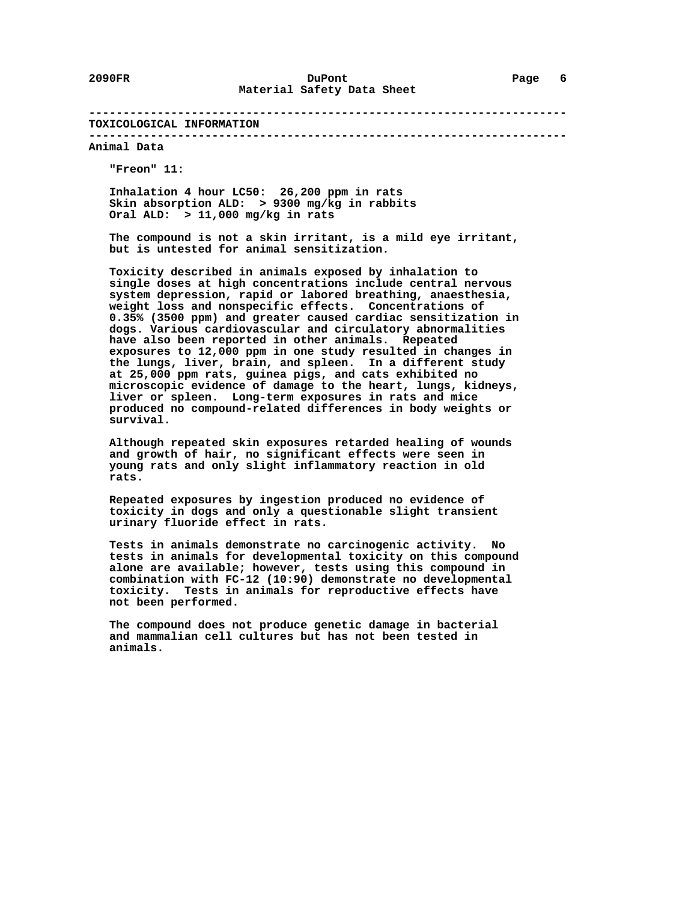## **---------------------------------------------------------------------- TOXICOLOGICAL INFORMATION**

## **----------------------------------------------------------------------**

 **Animal Data**

 **"Freon" 11:**

 **Inhalation 4 hour LC50: 26,200 ppm in rats Skin absorption ALD: > 9300 mg/kg in rabbits Oral ALD: > 11,000 mg/kg in rats**

 **The compound is not a skin irritant, is a mild eye irritant, but is untested for animal sensitization.**

 **Toxicity described in animals exposed by inhalation to single doses at high concentrations include central nervous system depression, rapid or labored breathing, anaesthesia, weight loss and nonspecific effects. Concentrations of 0.35% (3500 ppm) and greater caused cardiac sensitization in dogs. Various cardiovascular and circulatory abnormalities have also been reported in other animals. Repeated exposures to 12,000 ppm in one study resulted in changes in the lungs, liver, brain, and spleen. In a different study at 25,000 ppm rats, guinea pigs, and cats exhibited no microscopic evidence of damage to the heart, lungs, kidneys, liver or spleen. Long-term exposures in rats and mice produced no compound-related differences in body weights or survival.**

 **Although repeated skin exposures retarded healing of wounds and growth of hair, no significant effects were seen in young rats and only slight inflammatory reaction in old rats.**

 **Repeated exposures by ingestion produced no evidence of toxicity in dogs and only a questionable slight transient urinary fluoride effect in rats.**

 **Tests in animals demonstrate no carcinogenic activity. No tests in animals for developmental toxicity on this compound alone are available; however, tests using this compound in combination with FC-12 (10:90) demonstrate no developmental toxicity. Tests in animals for reproductive effects have not been performed.**

 **The compound does not produce genetic damage in bacterial and mammalian cell cultures but has not been tested in animals.**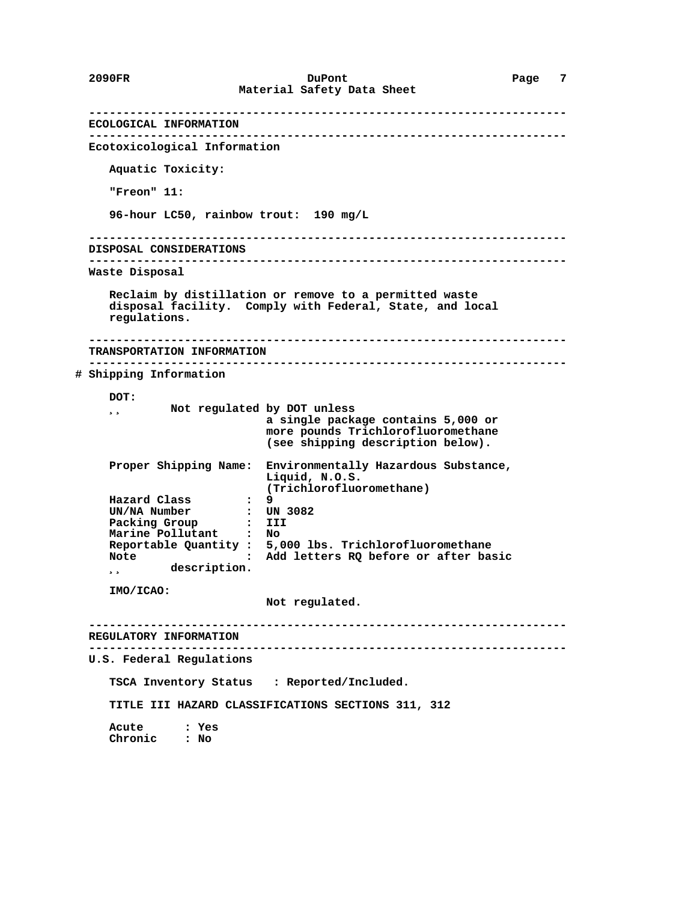**---------------------------------------------------------------------- ECOLOGICAL INFORMATION ---------------------------------------------------------------------- Ecotoxicological Information Aquatic Toxicity: "Freon" 11: 96-hour LC50, rainbow trout: 190 mg/L ---------------------------------------------------------------------- DISPOSAL CONSIDERATIONS ---------------------------------------------------------------------- Waste Disposal Reclaim by distillation or remove to a permitted waste disposal facility. Comply with Federal, State, and local regulations. ---------------------------------------------------------------------- TRANSPORTATION INFORMATION ---------------------------------------------------------------------- # Shipping Information DOT: ¸¸ Not regulated by DOT unless a single package contains 5,000 or more pounds Trichlorofluoromethane (see shipping description below). Proper Shipping Name: Environmentally Hazardous Substance, Liquid, N.O.S. (Trichlorofluoromethane) Hazard Class : 9 UN/NA Number : UN 3082 Packing Group : III Marine Pollutant : No Reportable Quantity : 5,000 lbs. Trichlorofluoromethane Note : Add letters RQ before or after basic ¸¸ description. IMO/ICAO: Not regulated. ---------------------------------------------------------------------- REGULATORY INFORMATION ---------------------------------------------------------------------- U.S. Federal Regulations TSCA Inventory Status : Reported/Included. TITLE III HAZARD CLASSIFICATIONS SECTIONS 311, 312 Acute : Yes Chronic : No**